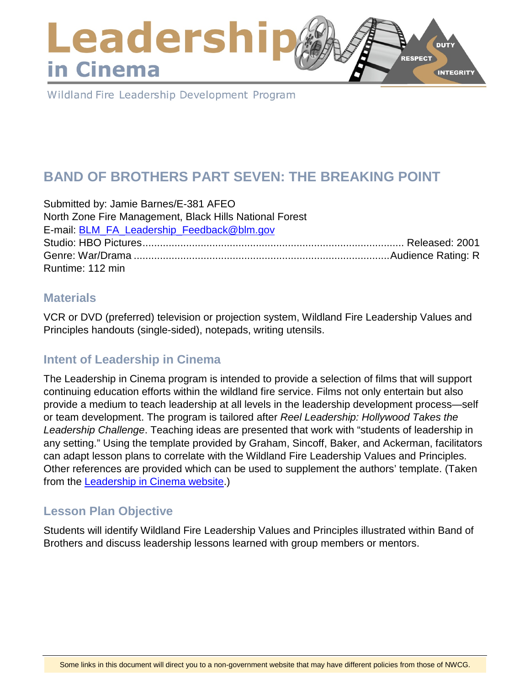### Leadershi **DUTY RESPECT** in Cinema **INTEGRITY**

Wildland Fire Leadership Development Program

# **BAND OF BROTHERS PART SEVEN: THE BREAKING POINT**

| Submitted by: Jamie Barnes/E-381 AFEO                   |  |
|---------------------------------------------------------|--|
| North Zone Fire Management, Black Hills National Forest |  |
| E-mail: BLM FA Leadership Feedback@blm.gov              |  |
|                                                         |  |
|                                                         |  |
| Runtime: 112 min                                        |  |

### **Materials**

VCR or DVD (preferred) television or projection system, Wildland Fire Leadership Values and Principles handouts (single-sided), notepads, writing utensils.

## **Intent of Leadership in Cinema**

The Leadership in Cinema program is intended to provide a selection of films that will support continuing education efforts within the wildland fire service. Films not only entertain but also provide a medium to teach leadership at all levels in the leadership development process—self or team development. The program is tailored after *Reel Leadership: Hollywood Takes the Leadership Challenge*. Teaching ideas are presented that work with "students of leadership in any setting." Using the template provided by Graham, Sincoff, Baker, and Ackerman, facilitators can adapt lesson plans to correlate with the Wildland Fire Leadership Values and Principles. Other references are provided which can be used to supplement the authors' template. (Taken from the [Leadership in Cinema website.](https://www.fireleadership.gov/))

## **Lesson Plan Objective**

Students will identify Wildland Fire Leadership Values and Principles illustrated within Band of Brothers and discuss leadership lessons learned with group members or mentors.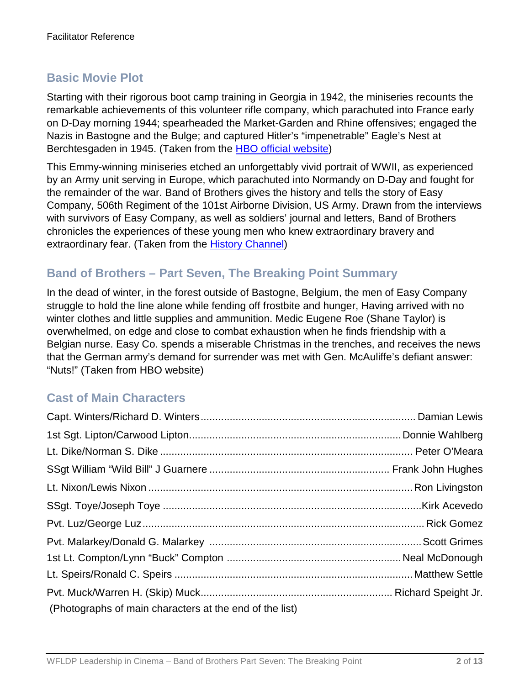## **Basic Movie Plot**

Starting with their rigorous boot camp training in Georgia in 1942, the miniseries recounts the remarkable achievements of this volunteer rifle company, which parachuted into France early on D-Day morning 1944; spearheaded the Market-Garden and Rhine offensives; engaged the Nazis in Bastogne and the Bulge; and captured Hitler's "impenetrable" Eagle's Nest at Berchtesgaden in 1945. (Taken from the [HBO official website\)](http://www.hbo.com/band/landing/currahee.html)

This Emmy-winning miniseries etched an unforgettably vivid portrait of WWII, as experienced by an Army unit serving in Europe, which parachuted into Normandy on D-Day and fought for the remainder of the war. Band of Brothers gives the history and tells the story of Easy Company, 506th Regiment of the 101st Airborne Division, US Army. Drawn from the interviews with survivors of Easy Company, as well as soldiers' journal and letters, Band of Brothers chronicles the experiences of these young men who knew extraordinary bravery and extraordinary fear. (Taken from the [History Channel\)](http://www.history.com/topics/d-day)

### **Band of Brothers – Part Seven, The Breaking Point Summary**

In the dead of winter, in the forest outside of Bastogne, Belgium, the men of Easy Company struggle to hold the line alone while fending off frostbite and hunger, Having arrived with no winter clothes and little supplies and ammunition. Medic Eugene Roe (Shane Taylor) is overwhelmed, on edge and close to combat exhaustion when he finds friendship with a Belgian nurse. Easy Co. spends a miserable Christmas in the trenches, and receives the news that the German army's demand for surrender was met with Gen. McAuliffe's defiant answer: "Nuts!" (Taken from HBO website)

## **Cast of Main Characters**

| (Photographs of main characters at the end of the list) |  |
|---------------------------------------------------------|--|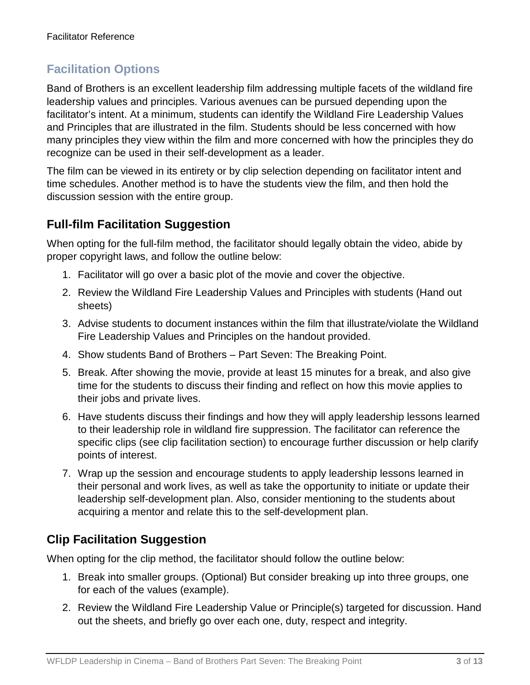## **Facilitation Options**

Band of Brothers is an excellent leadership film addressing multiple facets of the wildland fire leadership values and principles. Various avenues can be pursued depending upon the facilitator's intent. At a minimum, students can identify the Wildland Fire Leadership Values and Principles that are illustrated in the film. Students should be less concerned with how many principles they view within the film and more concerned with how the principles they do recognize can be used in their self-development as a leader.

The film can be viewed in its entirety or by clip selection depending on facilitator intent and time schedules. Another method is to have the students view the film, and then hold the discussion session with the entire group.

## **Full-film Facilitation Suggestion**

When opting for the full-film method, the facilitator should legally obtain the video, abide by proper copyright laws, and follow the outline below:

- 1. Facilitator will go over a basic plot of the movie and cover the objective.
- 2. Review the Wildland Fire Leadership Values and Principles with students (Hand out sheets)
- 3. Advise students to document instances within the film that illustrate/violate the Wildland Fire Leadership Values and Principles on the handout provided.
- 4. Show students Band of Brothers Part Seven: The Breaking Point.
- 5. Break. After showing the movie, provide at least 15 minutes for a break, and also give time for the students to discuss their finding and reflect on how this movie applies to their jobs and private lives.
- 6. Have students discuss their findings and how they will apply leadership lessons learned to their leadership role in wildland fire suppression. The facilitator can reference the specific clips (see clip facilitation section) to encourage further discussion or help clarify points of interest.
- 7. Wrap up the session and encourage students to apply leadership lessons learned in their personal and work lives, as well as take the opportunity to initiate or update their leadership self-development plan. Also, consider mentioning to the students about acquiring a mentor and relate this to the self-development plan.

## **Clip Facilitation Suggestion**

When opting for the clip method, the facilitator should follow the outline below:

- 1. Break into smaller groups. (Optional) But consider breaking up into three groups, one for each of the values (example).
- 2. Review the Wildland Fire Leadership Value or Principle(s) targeted for discussion. Hand out the sheets, and briefly go over each one, duty, respect and integrity.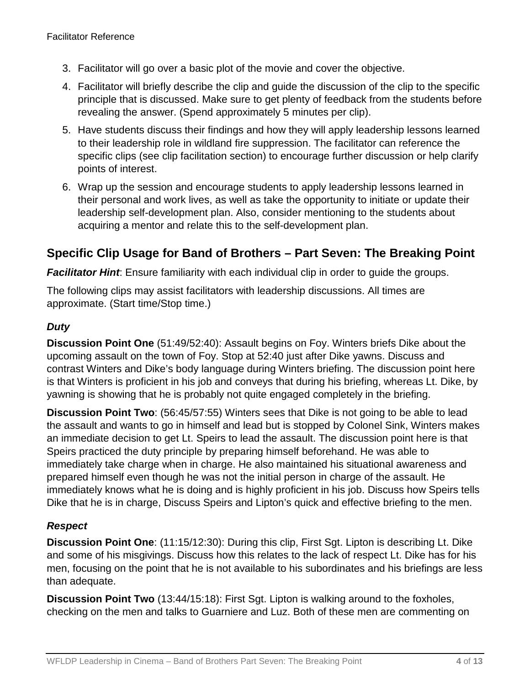- 3. Facilitator will go over a basic plot of the movie and cover the objective.
- 4. Facilitator will briefly describe the clip and guide the discussion of the clip to the specific principle that is discussed. Make sure to get plenty of feedback from the students before revealing the answer. (Spend approximately 5 minutes per clip).
- 5. Have students discuss their findings and how they will apply leadership lessons learned to their leadership role in wildland fire suppression. The facilitator can reference the specific clips (see clip facilitation section) to encourage further discussion or help clarify points of interest.
- 6. Wrap up the session and encourage students to apply leadership lessons learned in their personal and work lives, as well as take the opportunity to initiate or update their leadership self-development plan. Also, consider mentioning to the students about acquiring a mentor and relate this to the self-development plan.

## **Specific Clip Usage for Band of Brothers – Part Seven: The Breaking Point**

**Facilitator Hint**: Ensure familiarity with each individual clip in order to guide the groups.

The following clips may assist facilitators with leadership discussions. All times are approximate. (Start time/Stop time.)

#### *Duty*

**Discussion Point One** (51:49/52:40): Assault begins on Foy. Winters briefs Dike about the upcoming assault on the town of Foy. Stop at 52:40 just after Dike yawns. Discuss and contrast Winters and Dike's body language during Winters briefing. The discussion point here is that Winters is proficient in his job and conveys that during his briefing, whereas Lt. Dike, by yawning is showing that he is probably not quite engaged completely in the briefing.

**Discussion Point Two**: (56:45/57:55) Winters sees that Dike is not going to be able to lead the assault and wants to go in himself and lead but is stopped by Colonel Sink, Winters makes an immediate decision to get Lt. Speirs to lead the assault. The discussion point here is that Speirs practiced the duty principle by preparing himself beforehand. He was able to immediately take charge when in charge. He also maintained his situational awareness and prepared himself even though he was not the initial person in charge of the assault. He immediately knows what he is doing and is highly proficient in his job. Discuss how Speirs tells Dike that he is in charge, Discuss Speirs and Lipton's quick and effective briefing to the men.

#### *Respect*

**Discussion Point One**: (11:15/12:30): During this clip, First Sgt. Lipton is describing Lt. Dike and some of his misgivings. Discuss how this relates to the lack of respect Lt. Dike has for his men, focusing on the point that he is not available to his subordinates and his briefings are less than adequate.

**Discussion Point Two** (13:44/15:18): First Sgt. Lipton is walking around to the foxholes, checking on the men and talks to Guarniere and Luz. Both of these men are commenting on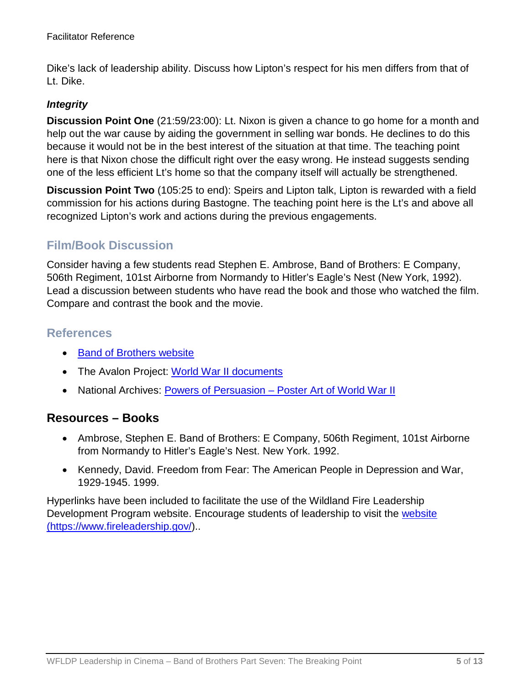Dike's lack of leadership ability. Discuss how Lipton's respect for his men differs from that of Lt. Dike.

#### *Integrity*

**Discussion Point One** (21:59/23:00): Lt. Nixon is given a chance to go home for a month and help out the war cause by aiding the government in selling war bonds. He declines to do this because it would not be in the best interest of the situation at that time. The teaching point here is that Nixon chose the difficult right over the easy wrong. He instead suggests sending one of the less efficient Lt's home so that the company itself will actually be strengthened.

**Discussion Point Two** (105:25 to end): Speirs and Lipton talk, Lipton is rewarded with a field commission for his actions during Bastogne. The teaching point here is the Lt's and above all recognized Lipton's work and actions during the previous engagements.

### **Film/Book Discussion**

Consider having a few students read Stephen E. Ambrose, Band of Brothers: E Company, 506th Regiment, 101st Airborne from Normandy to Hitler's Eagle's Nest (New York, 1992). Lead a discussion between students who have read the book and those who watched the film. Compare and contrast the book and the movie.

### **References**

- [Band of Brothers website](http://www.hbo.com/band/landing/currahee.html)
- The Avalon Project: [World War II documents](http://avalon.law.yale.edu/subject_menus/wwii.asp)
- National Archives: Powers of Persuasion [Poster Art of World War II](https://www.archives.gov/education/lessons/wwii-posters)

### **Resources – Books**

- Ambrose, Stephen E. Band of Brothers: E Company, 506th Regiment, 101st Airborne from Normandy to Hitler's Eagle's Nest. New York. 1992.
- Kennedy, David. Freedom from Fear: The American People in Depression and War, 1929-1945. 1999.

Hyperlinks have been included to facilitate the use of the Wildland Fire Leadership Development Program website. Encourage students of leadership to visit the website [\(https://www.fireleadership.gov/\)](https://www.fireleadership.gov/)..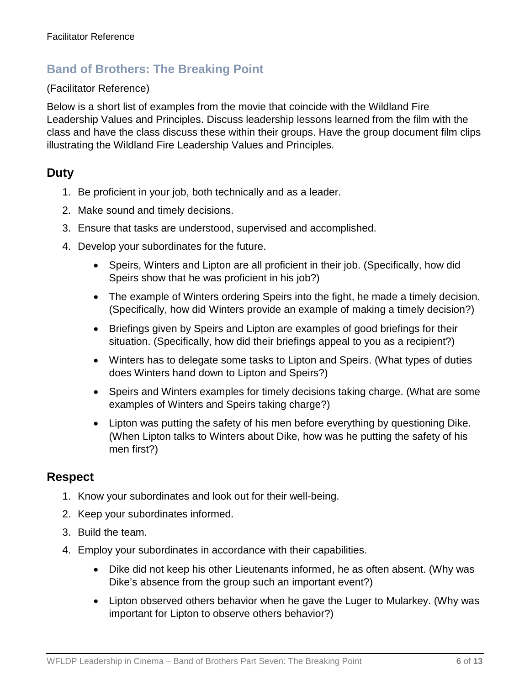### **Band of Brothers: The Breaking Point**

#### (Facilitator Reference)

Below is a short list of examples from the movie that coincide with the Wildland Fire Leadership Values and Principles. Discuss leadership lessons learned from the film with the class and have the class discuss these within their groups. Have the group document film clips illustrating the Wildland Fire Leadership Values and Principles.

### **Duty**

- 1. Be proficient in your job, both technically and as a leader.
- 2. Make sound and timely decisions.
- 3. Ensure that tasks are understood, supervised and accomplished.
- 4. Develop your subordinates for the future.
	- Speirs, Winters and Lipton are all proficient in their job. (Specifically, how did Speirs show that he was proficient in his job?)
	- The example of Winters ordering Speirs into the fight, he made a timely decision. (Specifically, how did Winters provide an example of making a timely decision?)
	- Briefings given by Speirs and Lipton are examples of good briefings for their situation. (Specifically, how did their briefings appeal to you as a recipient?)
	- Winters has to delegate some tasks to Lipton and Speirs. (What types of duties does Winters hand down to Lipton and Speirs?)
	- Speirs and Winters examples for timely decisions taking charge. (What are some examples of Winters and Speirs taking charge?)
	- Lipton was putting the safety of his men before everything by questioning Dike. (When Lipton talks to Winters about Dike, how was he putting the safety of his men first?)

#### **Respect**

- 1. Know your subordinates and look out for their well-being.
- 2. Keep your subordinates informed.
- 3. Build the team.
- 4. Employ your subordinates in accordance with their capabilities.
	- Dike did not keep his other Lieutenants informed, he as often absent. (Why was Dike's absence from the group such an important event?)
	- Lipton observed others behavior when he gave the Luger to Mularkey. (Why was important for Lipton to observe others behavior?)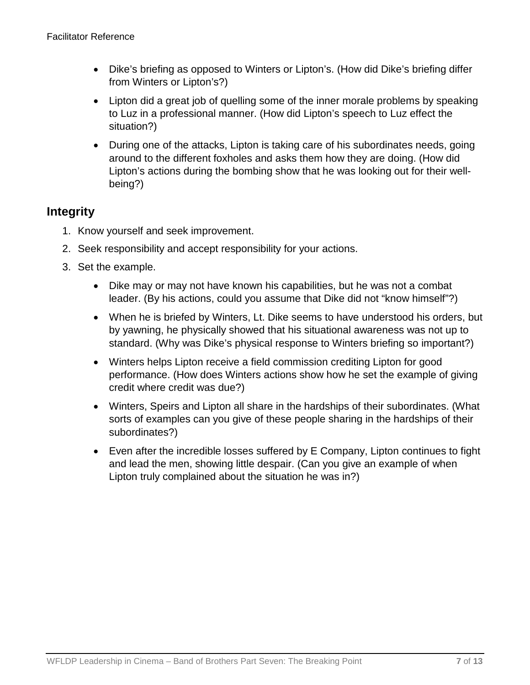- Dike's briefing as opposed to Winters or Lipton's. (How did Dike's briefing differ from Winters or Lipton's?)
- Lipton did a great job of quelling some of the inner morale problems by speaking to Luz in a professional manner. (How did Lipton's speech to Luz effect the situation?)
- During one of the attacks, Lipton is taking care of his subordinates needs, going around to the different foxholes and asks them how they are doing. (How did Lipton's actions during the bombing show that he was looking out for their wellbeing?)

## **Integrity**

- 1. Know yourself and seek improvement.
- 2. Seek responsibility and accept responsibility for your actions.
- 3. Set the example.
	- Dike may or may not have known his capabilities, but he was not a combat leader. (By his actions, could you assume that Dike did not "know himself"?)
	- When he is briefed by Winters, Lt. Dike seems to have understood his orders, but by yawning, he physically showed that his situational awareness was not up to standard. (Why was Dike's physical response to Winters briefing so important?)
	- Winters helps Lipton receive a field commission crediting Lipton for good performance. (How does Winters actions show how he set the example of giving credit where credit was due?)
	- Winters, Speirs and Lipton all share in the hardships of their subordinates. (What sorts of examples can you give of these people sharing in the hardships of their subordinates?)
	- Even after the incredible losses suffered by E Company, Lipton continues to fight and lead the men, showing little despair. (Can you give an example of when Lipton truly complained about the situation he was in?)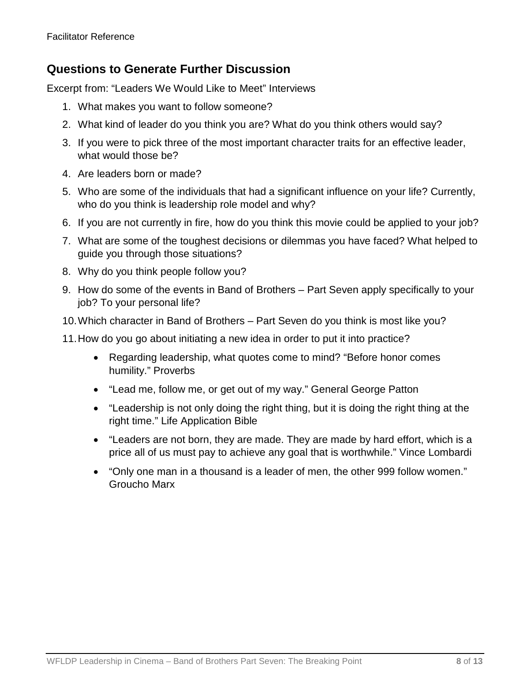## **Questions to Generate Further Discussion**

Excerpt from: "Leaders We Would Like to Meet" Interviews

- 1. What makes you want to follow someone?
- 2. What kind of leader do you think you are? What do you think others would say?
- 3. If you were to pick three of the most important character traits for an effective leader, what would those be?
- 4. Are leaders born or made?
- 5. Who are some of the individuals that had a significant influence on your life? Currently, who do you think is leadership role model and why?
- 6. If you are not currently in fire, how do you think this movie could be applied to your job?
- 7. What are some of the toughest decisions or dilemmas you have faced? What helped to guide you through those situations?
- 8. Why do you think people follow you?
- 9. How do some of the events in Band of Brothers Part Seven apply specifically to your job? To your personal life?
- 10.Which character in Band of Brothers Part Seven do you think is most like you?
- 11.How do you go about initiating a new idea in order to put it into practice?
	- Regarding leadership, what quotes come to mind? "Before honor comes humility." Proverbs
	- "Lead me, follow me, or get out of my way." General George Patton
	- "Leadership is not only doing the right thing, but it is doing the right thing at the right time." Life Application Bible
	- "Leaders are not born, they are made. They are made by hard effort, which is a price all of us must pay to achieve any goal that is worthwhile." Vince Lombardi
	- "Only one man in a thousand is a leader of men, the other 999 follow women." Groucho Marx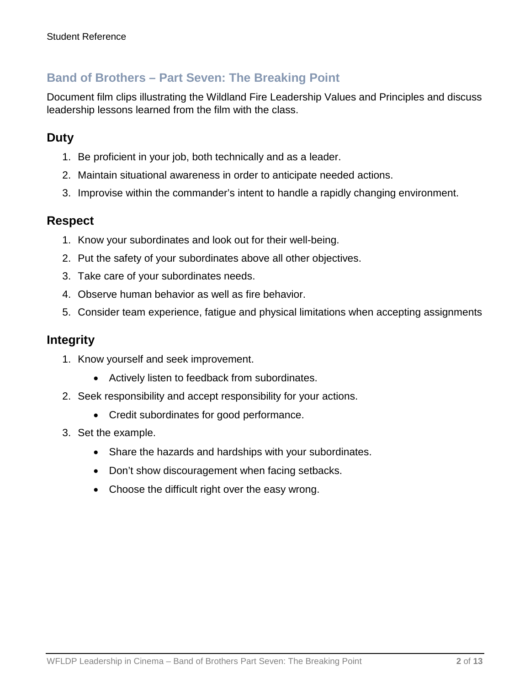## **Band of Brothers – Part Seven: The Breaking Point**

Document film clips illustrating the Wildland Fire Leadership Values and Principles and discuss leadership lessons learned from the film with the class.

## **Duty**

- 1. Be proficient in your job, both technically and as a leader.
- 2. Maintain situational awareness in order to anticipate needed actions.
- 3. Improvise within the commander's intent to handle a rapidly changing environment.

### **Respect**

- 1. Know your subordinates and look out for their well-being.
- 2. Put the safety of your subordinates above all other objectives.
- 3. Take care of your subordinates needs.
- 4. Observe human behavior as well as fire behavior.
- 5. Consider team experience, fatigue and physical limitations when accepting assignments

#### **Integrity**

- 1. Know yourself and seek improvement.
	- Actively listen to feedback from subordinates.
- 2. Seek responsibility and accept responsibility for your actions.
	- Credit subordinates for good performance.
- 3. Set the example.
	- Share the hazards and hardships with your subordinates.
	- Don't show discouragement when facing setbacks.
	- Choose the difficult right over the easy wrong.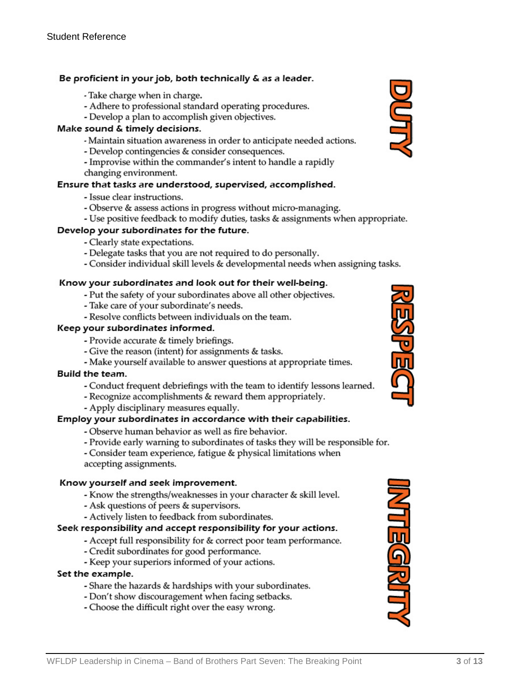#### Be proficient in your job, both technically & as a leader.

- Take charge when in charge.
- Adhere to professional standard operating procedures.
- Develop a plan to accomplish given objectives.

#### Make sound & timely decisions.

- Maintain situation awareness in order to anticipate needed actions.
- Develop contingencies & consider consequences.
- Improvise within the commander's intent to handle a rapidly
- changing environment.

#### Ensure that tasks are understood, supervised, accomplished.

- Issue clear instructions.
- Observe & assess actions in progress without micro-managing.
- Use positive feedback to modify duties, tasks & assignments when appropriate.

#### Develop your subordinates for the future.

- Clearly state expectations.
- Delegate tasks that you are not required to do personally.
- Consider individual skill levels & developmental needs when assigning tasks.

#### Know your subordinates and look out for their well-being.

- Put the safety of your subordinates above all other objectives.
- Take care of your subordinate's needs.
- Resolve conflicts between individuals on the team.

#### Keep your subordinates informed.

- Provide accurate & timely briefings.
- Give the reason (intent) for assignments & tasks.
- Make yourself available to answer questions at appropriate times.

#### Build the team.

- Conduct frequent debriefings with the team to identify lessons learned.
- Recognize accomplishments & reward them appropriately.
- Apply disciplinary measures equally.

#### Employ your subordinates in accordance with their capabilities.

- Observe human behavior as well as fire behavior.
- Provide early warning to subordinates of tasks they will be responsible for.

- Consider team experience, fatigue & physical limitations when accepting assignments.

#### Know yourself and seek improvement.

- Know the strengths/weaknesses in your character & skill level.
- Ask questions of peers & supervisors.
- Actively listen to feedback from subordinates.

#### Seek responsibility and accept responsibility for your actions.

- Accept full responsibility for & correct poor team performance.
- Credit subordinates for good performance.
- Keep your superiors informed of your actions.

#### Set the example.

- Share the hazards & hardships with your subordinates.
- Don't show discouragement when facing setbacks.
- Choose the difficult right over the easy wrong.





**MTEGRITT**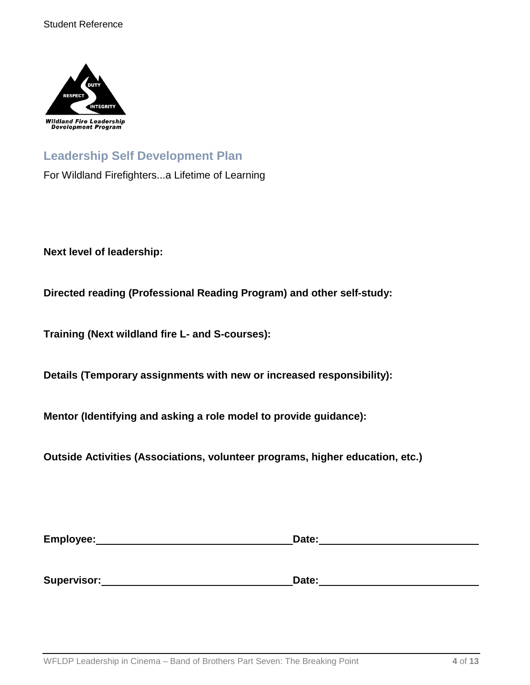

## **Leadership Self Development Plan**

For Wildland Firefighters...a Lifetime of Learning

**Next level of leadership:**

**Directed reading (Professional Reading Program) and other self-study:**

**Training (Next wildland fire L- and S-courses):**

**Details (Temporary assignments with new or increased responsibility):**

**Mentor (Identifying and asking a role model to provide guidance):**

**Outside Activities (Associations, volunteer programs, higher education, etc.)**

| Employee:   | Date: |  |
|-------------|-------|--|
|             |       |  |
|             |       |  |
| Supervisor: | Date: |  |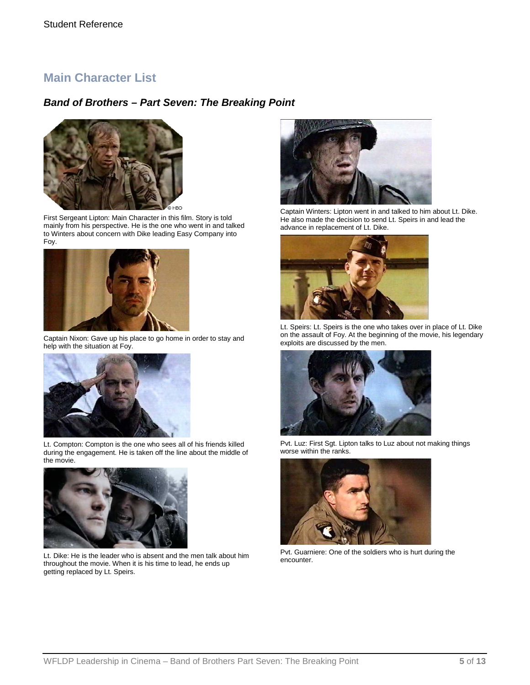### **Main Character List**

### *Band of Brothers – Part Seven: The Breaking Point*



First Sergeant Lipton: Main Character in this film. Story is told mainly from his perspective. He is the one who went in and talked to Winters about concern with Dike leading Easy Company into Foy.



Captain Nixon: Gave up his place to go home in order to stay and help with the situation at Foy.



Lt. Compton: Compton is the one who sees all of his friends killed during the engagement. He is taken off the line about the middle of the movie.



Lt. Dike: He is the leader who is absent and the men talk about him throughout the movie. When it is his time to lead, he ends up getting replaced by Lt. Speirs.



Captain Winters: Lipton went in and talked to him about Lt. Dike. He also made the decision to send Lt. Speirs in and lead the advance in replacement of Lt. Dike.



Lt. Speirs: Lt. Speirs is the one who takes over in place of Lt. Dike on the assault of Foy. At the beginning of the movie, his legendary exploits are discussed by the men.



Pvt. Luz: First Sgt. Lipton talks to Luz about not making things worse within the ranks.



Pvt. Guarniere: One of the soldiers who is hurt during the encounter.